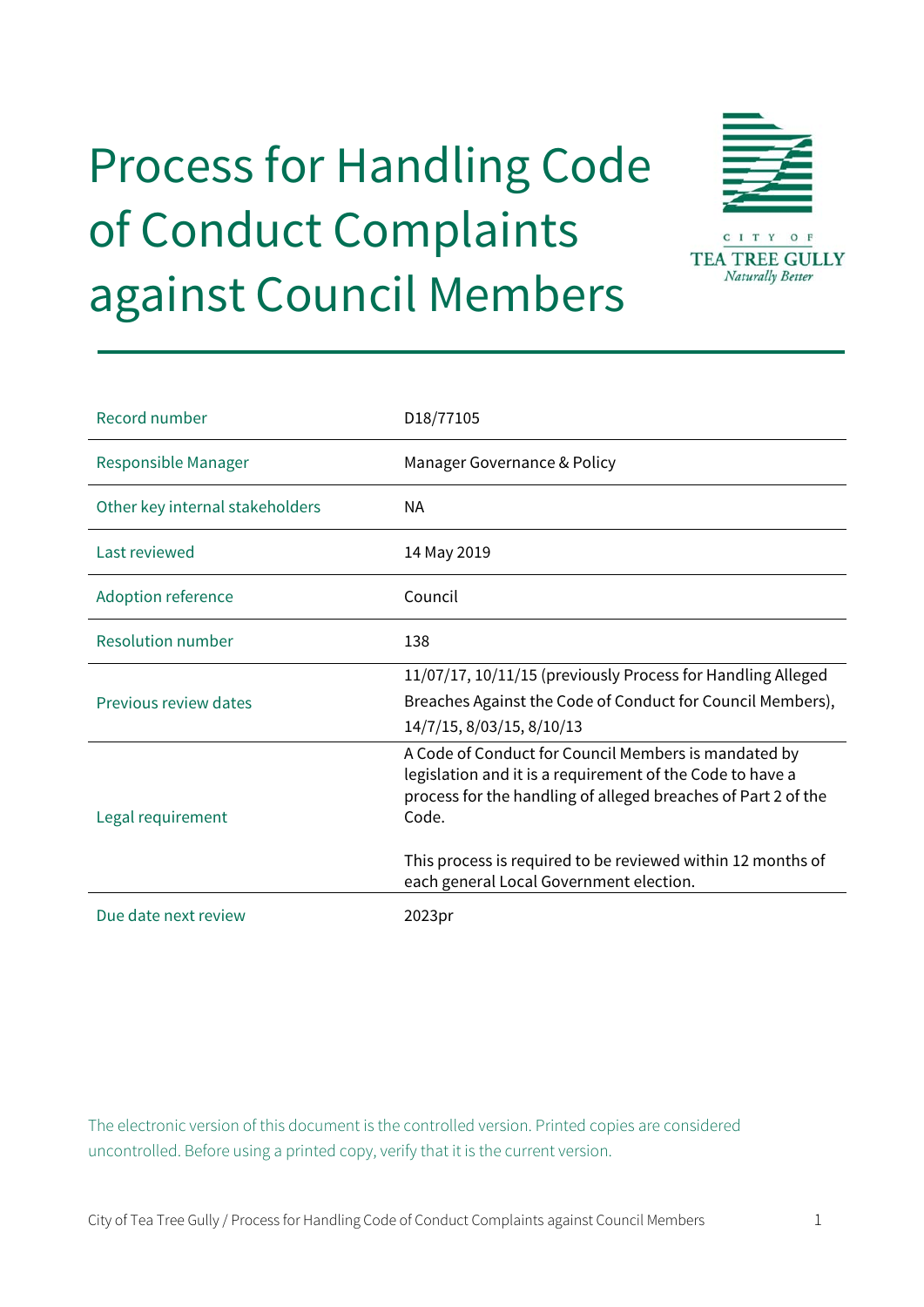# Process for Handling Code of Conduct Complaints against Council Members



| Record number                   | D18/77105                                                                                                                                                                                   |
|---------------------------------|---------------------------------------------------------------------------------------------------------------------------------------------------------------------------------------------|
| Responsible Manager             | Manager Governance & Policy                                                                                                                                                                 |
| Other key internal stakeholders | NА                                                                                                                                                                                          |
| Last reviewed                   | 14 May 2019                                                                                                                                                                                 |
| <b>Adoption reference</b>       | Council                                                                                                                                                                                     |
| Resolution number               | 138                                                                                                                                                                                         |
| Previous review dates           | 11/07/17, 10/11/15 (previously Process for Handling Alleged<br>Breaches Against the Code of Conduct for Council Members),<br>14/7/15, 8/03/15, 8/10/13                                      |
| Legal requirement               | A Code of Conduct for Council Members is mandated by<br>legislation and it is a requirement of the Code to have a<br>process for the handling of alleged breaches of Part 2 of the<br>Code. |
|                                 | This process is required to be reviewed within 12 months of<br>each general Local Government election.                                                                                      |
| Due date next review            | 2023pr                                                                                                                                                                                      |

The electronic version of this document is the controlled version. Printed copies are considered uncontrolled. Before using a printed copy, verify that it is the current version.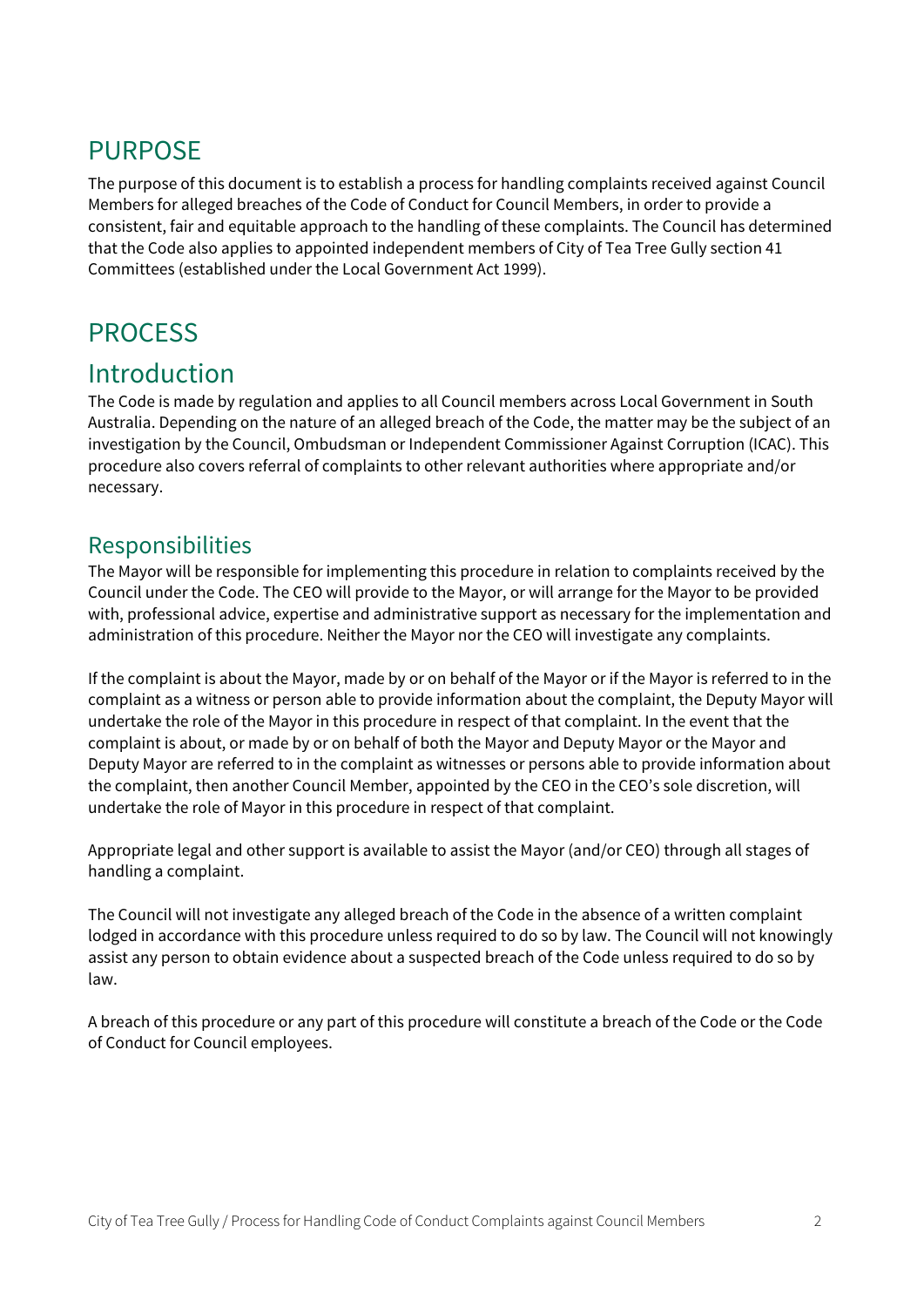# PURPOSE

The purpose of this document is to establish a process for handling complaints received against Council Members for alleged breaches of the Code of Conduct for Council Members, in order to provide a consistent, fair and equitable approach to the handling of these complaints. The Council has determined that the Code also applies to appointed independent members of City of Tea Tree Gully section 41 Committees (established under the Local Government Act 1999).

# **PROCESS**

# Introduction

The Code is made by regulation and applies to all Council members across Local Government in South Australia. Depending on the nature of an alleged breach of the Code, the matter may be the subject of an investigation by the Council, Ombudsman or Independent Commissioner Against Corruption (ICAC). This procedure also covers referral of complaints to other relevant authorities where appropriate and/or necessary.

### Responsibilities

The Mayor will be responsible for implementing this procedure in relation to complaints received by the Council under the Code. The CEO will provide to the Mayor, or will arrange for the Mayor to be provided with, professional advice, expertise and administrative support as necessary for the implementation and administration of this procedure. Neither the Mayor nor the CEO will investigate any complaints.

If the complaint is about the Mayor, made by or on behalf of the Mayor or if the Mayor is referred to in the complaint as a witness or person able to provide information about the complaint, the Deputy Mayor will undertake the role of the Mayor in this procedure in respect of that complaint. In the event that the complaint is about, or made by or on behalf of both the Mayor and Deputy Mayor or the Mayor and Deputy Mayor are referred to in the complaint as witnesses or persons able to provide information about the complaint, then another Council Member, appointed by the CEO in the CEO's sole discretion, will undertake the role of Mayor in this procedure in respect of that complaint.

Appropriate legal and other support is available to assist the Mayor (and/or CEO) through all stages of handling a complaint.

The Council will not investigate any alleged breach of the Code in the absence of a written complaint lodged in accordance with this procedure unless required to do so by law. The Council will not knowingly assist any person to obtain evidence about a suspected breach of the Code unless required to do so by law.

A breach of this procedure or any part of this procedure will constitute a breach of the Code or the Code of Conduct for Council employees.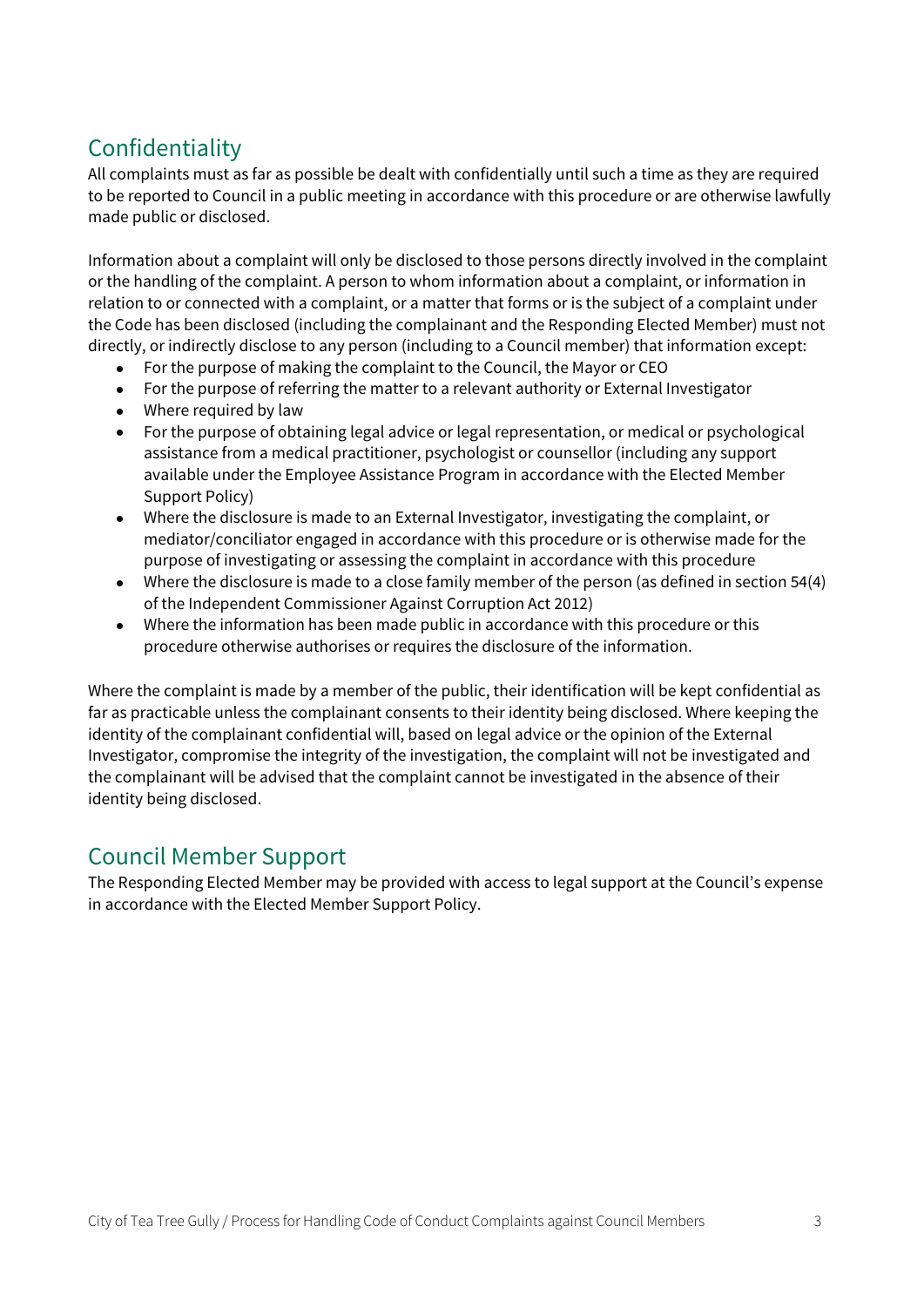# Confidentiality

All complaints must as far as possible be dealt with confidentially until such a time as they are required to be reported to Council in a public meeting in accordance with this procedure or are otherwise lawfully made public or disclosed.

Information about a complaint will only be disclosed to those persons directly involved in the complaint or the handling of the complaint. A person to whom information about a complaint, or information in relation to or connected with a complaint, or a matter that forms or is the subject of a complaint under the Code has been disclosed (including the complainant and the Responding Elected Member) must not directly, or indirectly disclose to any person (including to a Council member) that information except:

- For the purpose of making the complaint to the Council, the Mayor or CEO
- For the purpose of referring the matter to a relevant authority or External Investigator
- Where required by law
- For the purpose of obtaining legal advice or legal representation, or medical or psychological assistance from a medical practitioner, psychologist or counsellor (including any support available under the Employee Assistance Program in accordance with the Elected Member Support Policy)
- Where the disclosure is made to an External Investigator, investigating the complaint, or mediator/conciliator engaged in accordance with this procedure or is otherwise made for the purpose of investigating or assessing the complaint in accordance with this procedure
- Where the disclosure is made to a close family member of the person (as defined in section 54(4) of the Independent Commissioner Against Corruption Act 2012)
- Where the information has been made public in accordance with this procedure or this procedure otherwise authorises or requires the disclosure of the information.

Where the complaint is made by a member of the public, their identification will be kept confidential as far as practicable unless the complainant consents to their identity being disclosed. Where keeping the identity of the complainant confidential will, based on legal advice or the opinion of the External Investigator, compromise the integrity of the investigation, the complaint will not be investigated and the complainant will be advised that the complaint cannot be investigated in the absence of their identity being disclosed.

### Council Member Support

The Responding Elected Member may be provided with access to legal support at the Council's expense in accordance with the Elected Member Support Policy.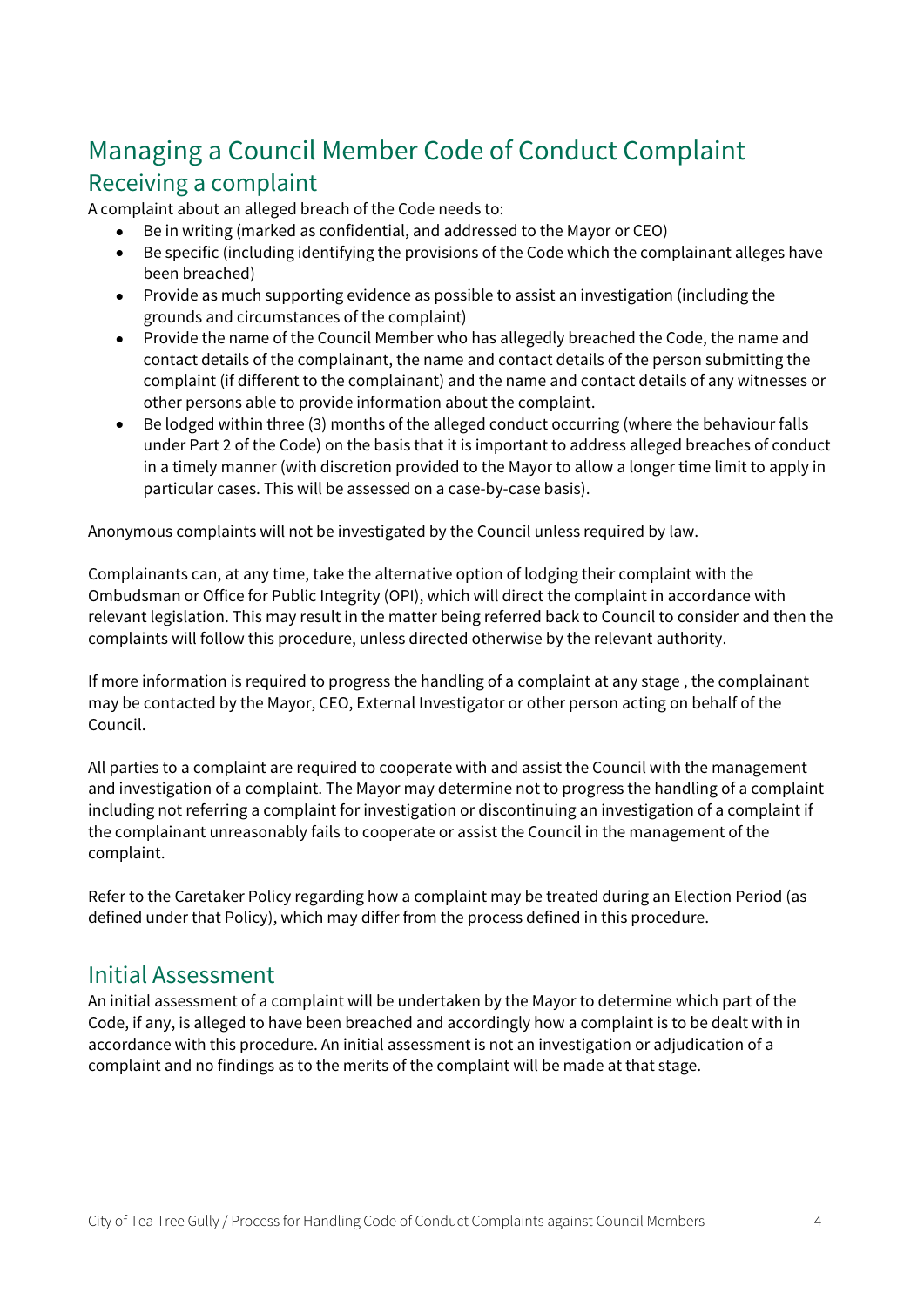# Managing a Council Member Code of Conduct Complaint Receiving a complaint

A complaint about an alleged breach of the Code needs to:

- Be in writing (marked as confidential, and addressed to the Mayor or CEO)
- Be specific (including identifying the provisions of the Code which the complainant alleges have been breached)
- Provide as much supporting evidence as possible to assist an investigation (including the grounds and circumstances of the complaint)
- Provide the name of the Council Member who has allegedly breached the Code, the name and contact details of the complainant, the name and contact details of the person submitting the complaint (if different to the complainant) and the name and contact details of any witnesses or other persons able to provide information about the complaint.
- Be lodged within three (3) months of the alleged conduct occurring (where the behaviour falls under Part 2 of the Code) on the basis that it is important to address alleged breaches of conduct in a timely manner (with discretion provided to the Mayor to allow a longer time limit to apply in particular cases. This will be assessed on a case-by-case basis).

Anonymous complaints will not be investigated by the Council unless required by law.

Complainants can, at any time, take the alternative option of lodging their complaint with the Ombudsman or Office for Public Integrity (OPI), which will direct the complaint in accordance with relevant legislation. This may result in the matter being referred back to Council to consider and then the complaints will follow this procedure, unless directed otherwise by the relevant authority.

If more information is required to progress the handling of a complaint at any stage , the complainant may be contacted by the Mayor, CEO, External Investigator or other person acting on behalf of the Council.

All parties to a complaint are required to cooperate with and assist the Council with the management and investigation of a complaint. The Mayor may determine not to progress the handling of a complaint including not referring a complaint for investigation or discontinuing an investigation of a complaint if the complainant unreasonably fails to cooperate or assist the Council in the management of the complaint.

Refer to the Caretaker Policy regarding how a complaint may be treated during an Election Period (as defined under that Policy), which may differ from the process defined in this procedure.

### Initial Assessment

An initial assessment of a complaint will be undertaken by the Mayor to determine which part of the Code, if any, is alleged to have been breached and accordingly how a complaint is to be dealt with in accordance with this procedure. An initial assessment is not an investigation or adjudication of a complaint and no findings as to the merits of the complaint will be made at that stage.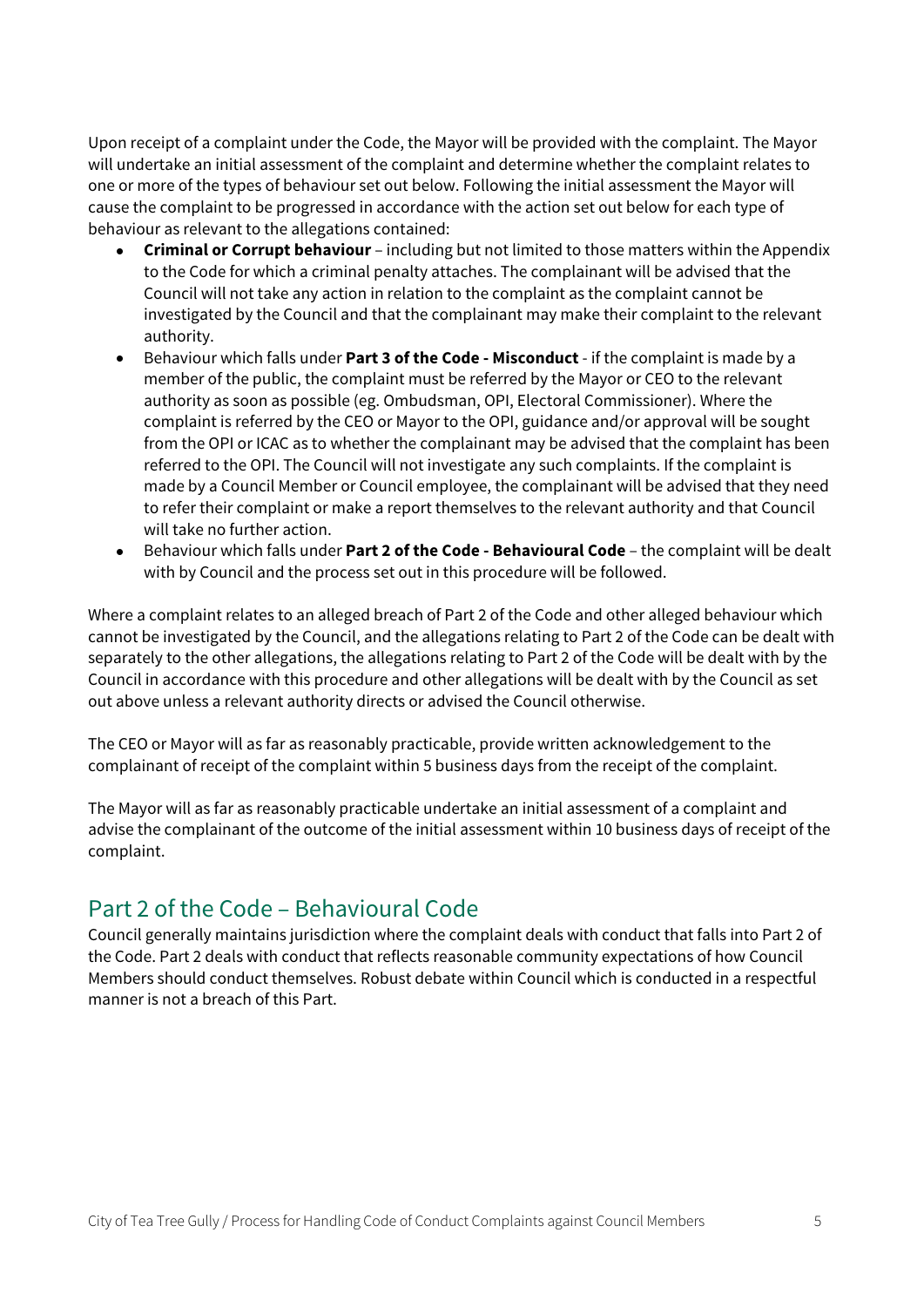Upon receipt of a complaint under the Code, the Mayor will be provided with the complaint. The Mayor will undertake an initial assessment of the complaint and determine whether the complaint relates to one or more of the types of behaviour set out below. Following the initial assessment the Mayor will cause the complaint to be progressed in accordance with the action set out below for each type of behaviour as relevant to the allegations contained:

- **Criminal or Corrupt behaviour** including but not limited to those matters within the Appendix to the Code for which a criminal penalty attaches. The complainant will be advised that the Council will not take any action in relation to the complaint as the complaint cannot be investigated by the Council and that the complainant may make their complaint to the relevant authority.
- Behaviour which falls under **Part 3 of the Code Misconduct** if the complaint is made by a member of the public, the complaint must be referred by the Mayor or CEO to the relevant authority as soon as possible (eg. Ombudsman, OPI, Electoral Commissioner). Where the complaint is referred by the CEO or Mayor to the OPI, guidance and/or approval will be sought from the OPI or ICAC as to whether the complainant may be advised that the complaint has been referred to the OPI. The Council will not investigate any such complaints. If the complaint is made by a Council Member or Council employee, the complainant will be advised that they need to refer their complaint or make a report themselves to the relevant authority and that Council will take no further action.
- Behaviour which falls under **Part 2 of the Code Behavioural Code** the complaint will be dealt with by Council and the process set out in this procedure will be followed.

Where a complaint relates to an alleged breach of Part 2 of the Code and other alleged behaviour which cannot be investigated by the Council, and the allegations relating to Part 2 of the Code can be dealt with separately to the other allegations, the allegations relating to Part 2 of the Code will be dealt with by the Council in accordance with this procedure and other allegations will be dealt with by the Council as set out above unless a relevant authority directs or advised the Council otherwise.

The CEO or Mayor will as far as reasonably practicable, provide written acknowledgement to the complainant of receipt of the complaint within 5 business days from the receipt of the complaint.

The Mayor will as far as reasonably practicable undertake an initial assessment of a complaint and advise the complainant of the outcome of the initial assessment within 10 business days of receipt of the complaint.

### Part 2 of the Code – Behavioural Code

Council generally maintains jurisdiction where the complaint deals with conduct that falls into Part 2 of the Code. Part 2 deals with conduct that reflects reasonable community expectations of how Council Members should conduct themselves. Robust debate within Council which is conducted in a respectful manner is not a breach of this Part.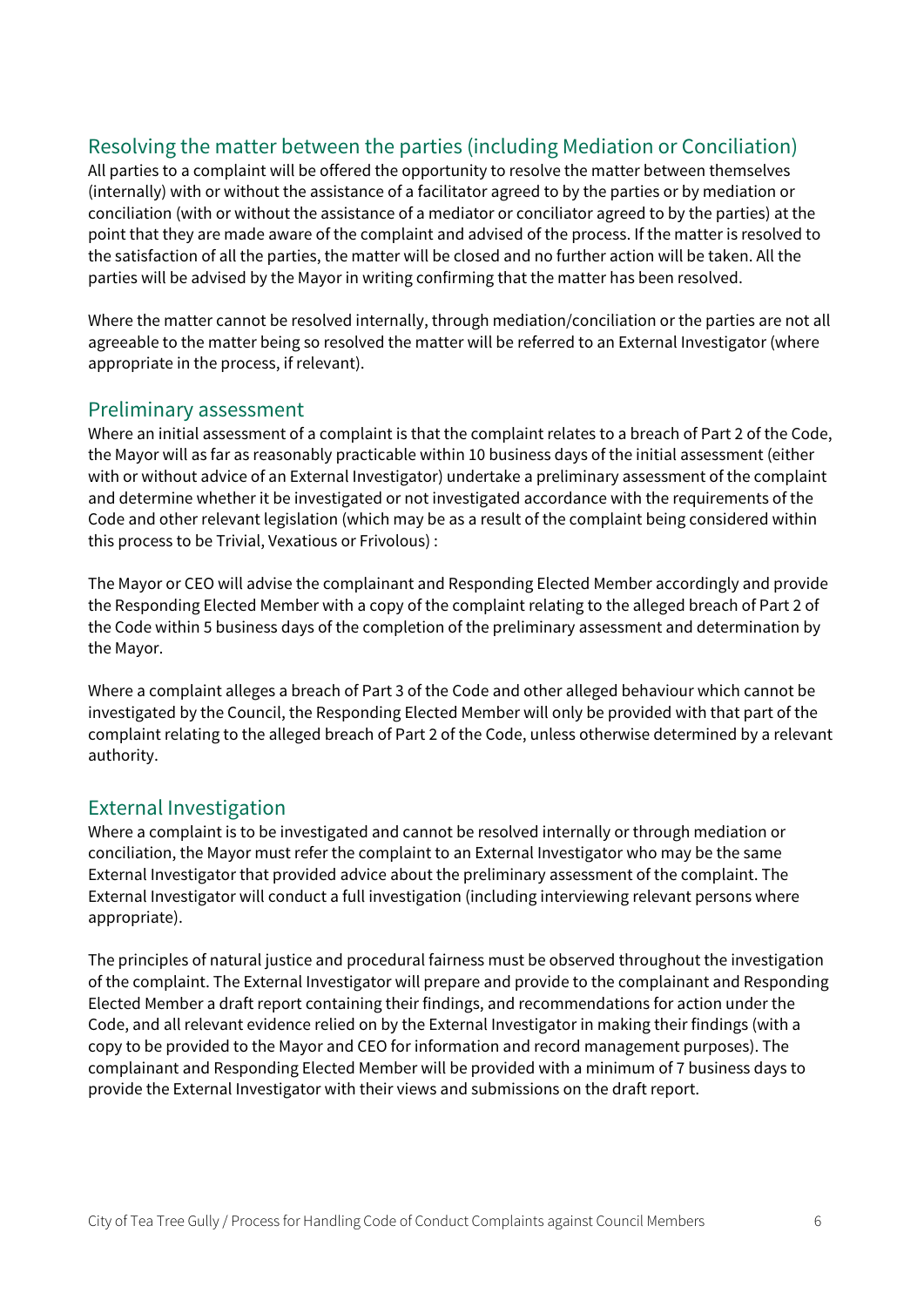### Resolving the matter between the parties (including Mediation or Conciliation)

All parties to a complaint will be offered the opportunity to resolve the matter between themselves (internally) with or without the assistance of a facilitator agreed to by the parties or by mediation or conciliation (with or without the assistance of a mediator or conciliator agreed to by the parties) at the point that they are made aware of the complaint and advised of the process. If the matter is resolved to the satisfaction of all the parties, the matter will be closed and no further action will be taken. All the parties will be advised by the Mayor in writing confirming that the matter has been resolved.

Where the matter cannot be resolved internally, through mediation/conciliation or the parties are not all agreeable to the matter being so resolved the matter will be referred to an External Investigator (where appropriate in the process, if relevant).

### Preliminary assessment

Where an initial assessment of a complaint is that the complaint relates to a breach of Part 2 of the Code, the Mayor will as far as reasonably practicable within 10 business days of the initial assessment (either with or without advice of an External Investigator) undertake a preliminary assessment of the complaint and determine whether it be investigated or not investigated accordance with the requirements of the Code and other relevant legislation (which may be as a result of the complaint being considered within this process to be Trivial, Vexatious or Frivolous) :

The Mayor or CEO will advise the complainant and Responding Elected Member accordingly and provide the Responding Elected Member with a copy of the complaint relating to the alleged breach of Part 2 of the Code within 5 business days of the completion of the preliminary assessment and determination by the Mayor.

Where a complaint alleges a breach of Part 3 of the Code and other alleged behaviour which cannot be investigated by the Council, the Responding Elected Member will only be provided with that part of the complaint relating to the alleged breach of Part 2 of the Code, unless otherwise determined by a relevant authority.

### External Investigation

Where a complaint is to be investigated and cannot be resolved internally or through mediation or conciliation, the Mayor must refer the complaint to an External Investigator who may be the same External Investigator that provided advice about the preliminary assessment of the complaint. The External Investigator will conduct a full investigation (including interviewing relevant persons where appropriate).

The principles of natural justice and procedural fairness must be observed throughout the investigation of the complaint. The External Investigator will prepare and provide to the complainant and Responding Elected Member a draft report containing their findings, and recommendations for action under the Code, and all relevant evidence relied on by the External Investigator in making their findings (with a copy to be provided to the Mayor and CEO for information and record management purposes). The complainant and Responding Elected Member will be provided with a minimum of 7 business days to provide the External Investigator with their views and submissions on the draft report.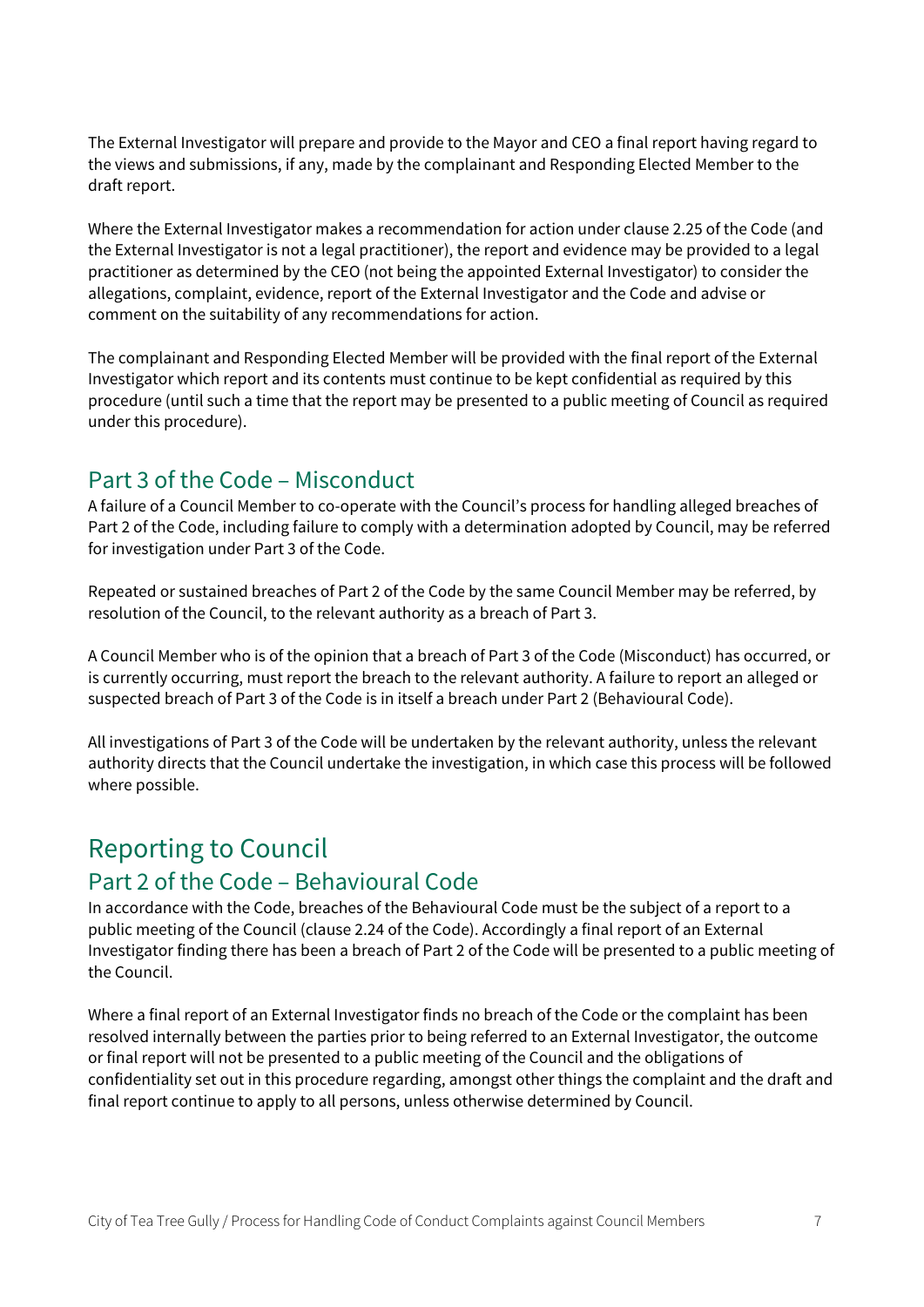The External Investigator will prepare and provide to the Mayor and CEO a final report having regard to the views and submissions, if any, made by the complainant and Responding Elected Member to the draft report.

Where the External Investigator makes a recommendation for action under clause 2.25 of the Code (and the External Investigator is not a legal practitioner), the report and evidence may be provided to a legal practitioner as determined by the CEO (not being the appointed External Investigator) to consider the allegations, complaint, evidence, report of the External Investigator and the Code and advise or comment on the suitability of any recommendations for action.

The complainant and Responding Elected Member will be provided with the final report of the External Investigator which report and its contents must continue to be kept confidential as required by this procedure (until such a time that the report may be presented to a public meeting of Council as required under this procedure).

### Part 3 of the Code – Misconduct

A failure of a Council Member to co-operate with the Council's process for handling alleged breaches of Part 2 of the Code, including failure to comply with a determination adopted by Council, may be referred for investigation under Part 3 of the Code.

Repeated or sustained breaches of Part 2 of the Code by the same Council Member may be referred, by resolution of the Council, to the relevant authority as a breach of Part 3.

A Council Member who is of the opinion that a breach of Part 3 of the Code (Misconduct) has occurred, or is currently occurring, must report the breach to the relevant authority. A failure to report an alleged or suspected breach of Part 3 of the Code is in itself a breach under Part 2 (Behavioural Code).

All investigations of Part 3 of the Code will be undertaken by the relevant authority, unless the relevant authority directs that the Council undertake the investigation, in which case this process will be followed where possible.

# Reporting to Council

### Part 2 of the Code – Behavioural Code

In accordance with the Code, breaches of the Behavioural Code must be the subject of a report to a public meeting of the Council (clause 2.24 of the Code). Accordingly a final report of an External Investigator finding there has been a breach of Part 2 of the Code will be presented to a public meeting of the Council.

Where a final report of an External Investigator finds no breach of the Code or the complaint has been resolved internally between the parties prior to being referred to an External Investigator, the outcome or final report will not be presented to a public meeting of the Council and the obligations of confidentiality set out in this procedure regarding, amongst other things the complaint and the draft and final report continue to apply to all persons, unless otherwise determined by Council.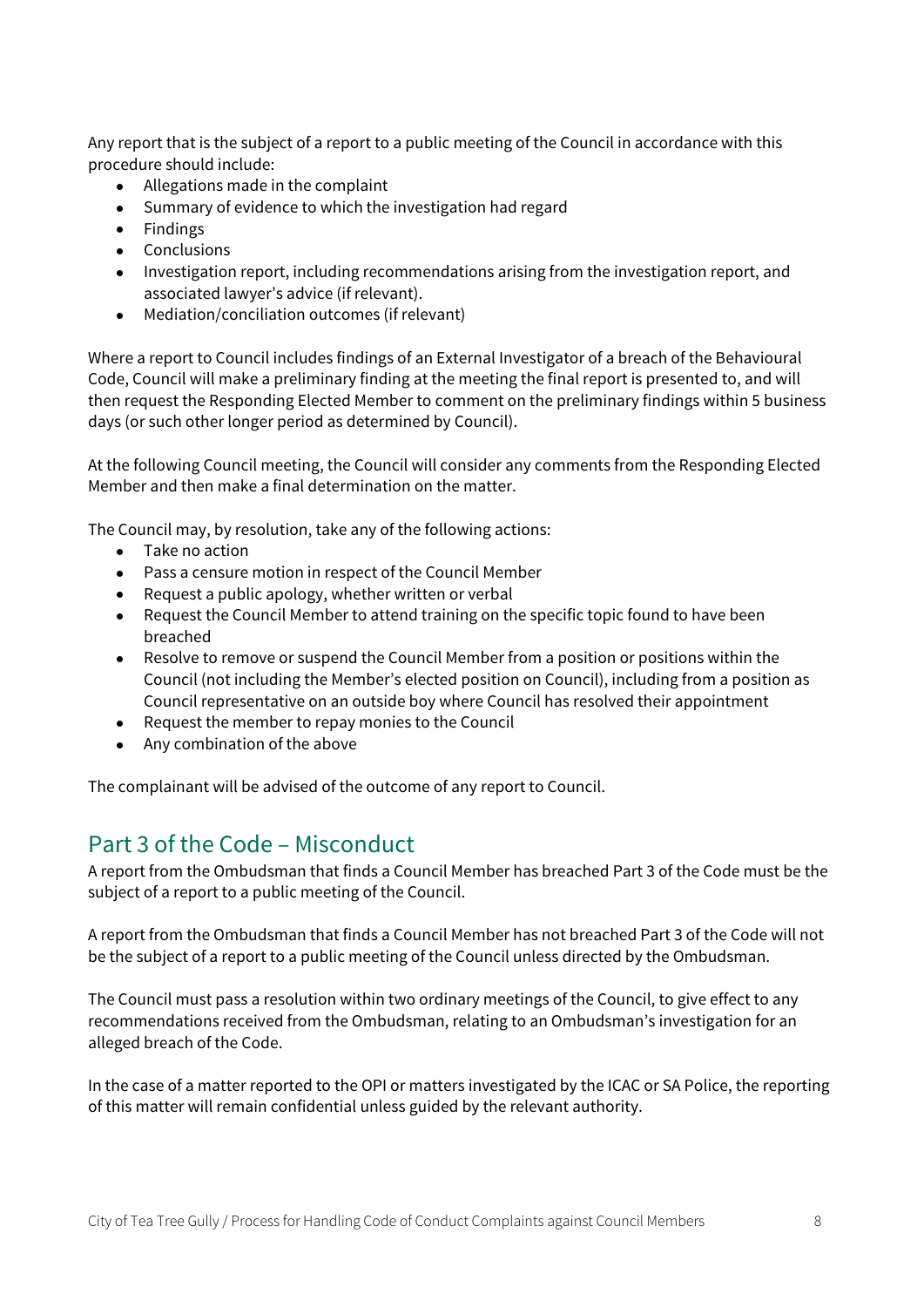Any report that is the subject of a report to a public meeting of the Council in accordance with this procedure should include:

- Allegations made in the complaint
- Summary of evidence to which the investigation had regard
- Findings
- Conclusions
- Investigation report, including recommendations arising from the investigation report, and associated lawyer's advice (if relevant).
- Mediation/conciliation outcomes (if relevant)

Where a report to Council includes findings of an External Investigator of a breach of the Behavioural Code, Council will make a preliminary finding at the meeting the final report is presented to, and will then request the Responding Elected Member to comment on the preliminary findings within 5 business days (or such other longer period as determined by Council).

At the following Council meeting, the Council will consider any comments from the Responding Elected Member and then make a final determination on the matter.

The Council may, by resolution, take any of the following actions:

- Take no action
- Pass a censure motion in respect of the Council Member
- Request a public apology, whether written or verbal
- Request the Council Member to attend training on the specific topic found to have been breached
- Resolve to remove or suspend the Council Member from a position or positions within the Council (not including the Member's elected position on Council), including from a position as Council representative on an outside boy where Council has resolved their appointment
- Request the member to repay monies to the Council
- Any combination of the above

The complainant will be advised of the outcome of any report to Council.

### Part 3 of the Code – Misconduct

A report from the Ombudsman that finds a Council Member has breached Part 3 of the Code must be the subject of a report to a public meeting of the Council.

A report from the Ombudsman that finds a Council Member has not breached Part 3 of the Code will not be the subject of a report to a public meeting of the Council unless directed by the Ombudsman.

The Council must pass a resolution within two ordinary meetings of the Council, to give effect to any recommendations received from the Ombudsman, relating to an Ombudsman's investigation for an alleged breach of the Code.

In the case of a matter reported to the OPI or matters investigated by the ICAC or SA Police, the reporting of this matter will remain confidential unless guided by the relevant authority.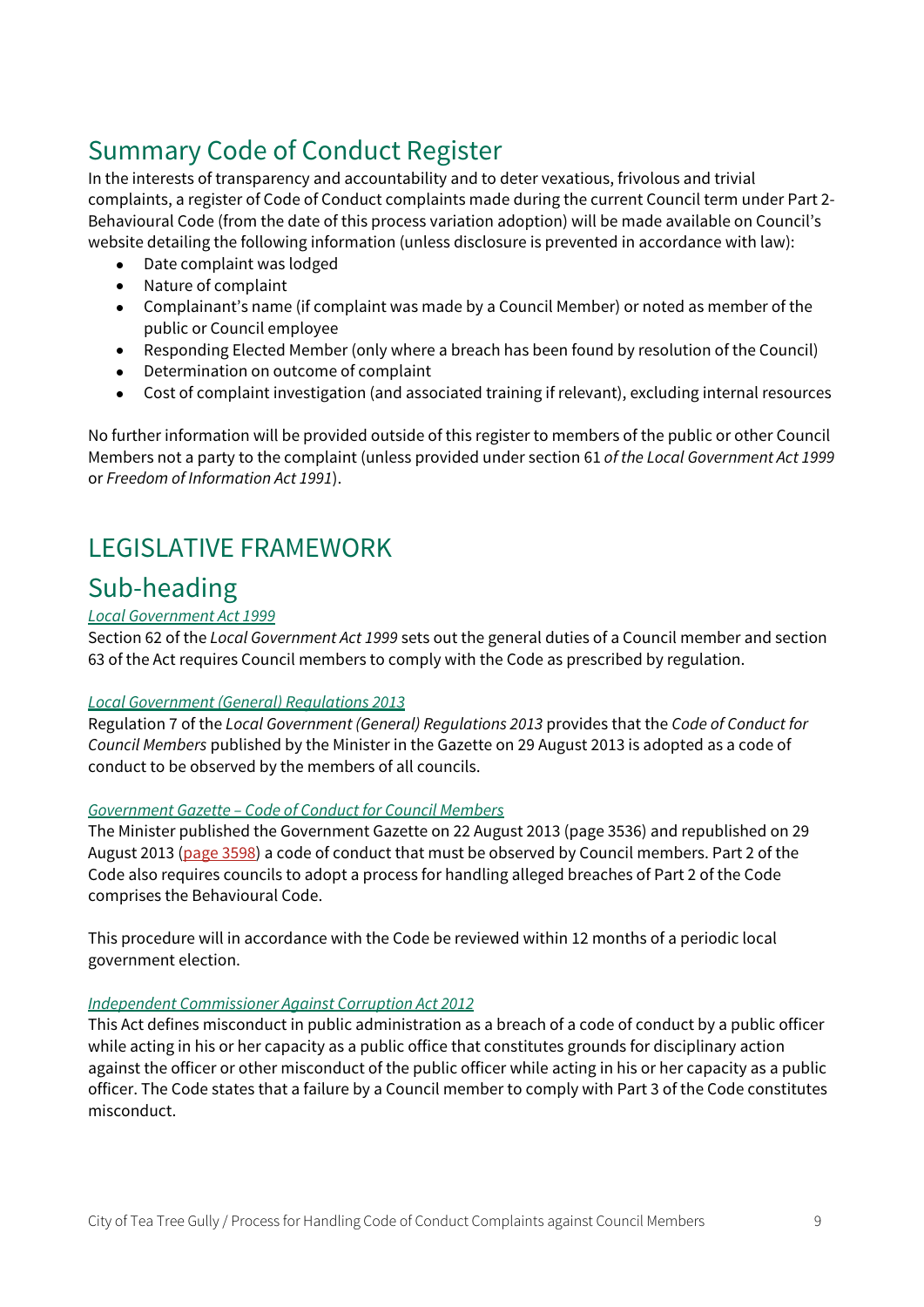# Summary Code of Conduct Register

In the interests of transparency and accountability and to deter vexatious, frivolous and trivial complaints, a register of Code of Conduct complaints made during the current Council term under Part 2- Behavioural Code (from the date of this process variation adoption) will be made available on Council's website detailing the following information (unless disclosure is prevented in accordance with law):

- Date complaint was lodged
- Nature of complaint
- Complainant's name (if complaint was made by a Council Member) or noted as member of the public or Council employee
- Responding Elected Member (only where a breach has been found by resolution of the Council)
- Determination on outcome of complaint
- Cost of complaint investigation (and associated training if relevant), excluding internal resources

No further information will be provided outside of this register to members of the public or other Council Members not a party to the complaint (unless provided under section 61 of the Local Government Act 1999 or Freedom of Information Act 1991).

# LEGISLATIVE FRAMEWORK

## Sub-heading

#### Local Government Act 1999

Section 62 of the Local Government Act 1999 sets out the general duties of a Council member and section 63 of the Act requires Council members to comply with the Code as prescribed by regulation.

#### Local Government (General) Regulations 2013

Regulation 7 of the Local Government (General) Regulations 2013 provides that the Code of Conduct for Council Members published by the Minister in the Gazette on 29 August 2013 is adopted as a code of conduct to be observed by the members of all councils.

#### Government Gazette – Code of Conduct for Council Members

The Minister published the Government Gazette on 22 August 2013 (page 3536) and republished on 29 August 2013 (page 3598) a code of conduct that must be observed by Council members. Part 2 of the Code also requires councils to adopt a process for handling alleged breaches of Part 2 of the Code comprises the Behavioural Code.

This procedure will in accordance with the Code be reviewed within 12 months of a periodic local government election.

#### Independent Commissioner Against Corruption Act 2012

This Act defines misconduct in public administration as a breach of a code of conduct by a public officer while acting in his or her capacity as a public office that constitutes grounds for disciplinary action against the officer or other misconduct of the public officer while acting in his or her capacity as a public officer. The Code states that a failure by a Council member to comply with Part 3 of the Code constitutes misconduct.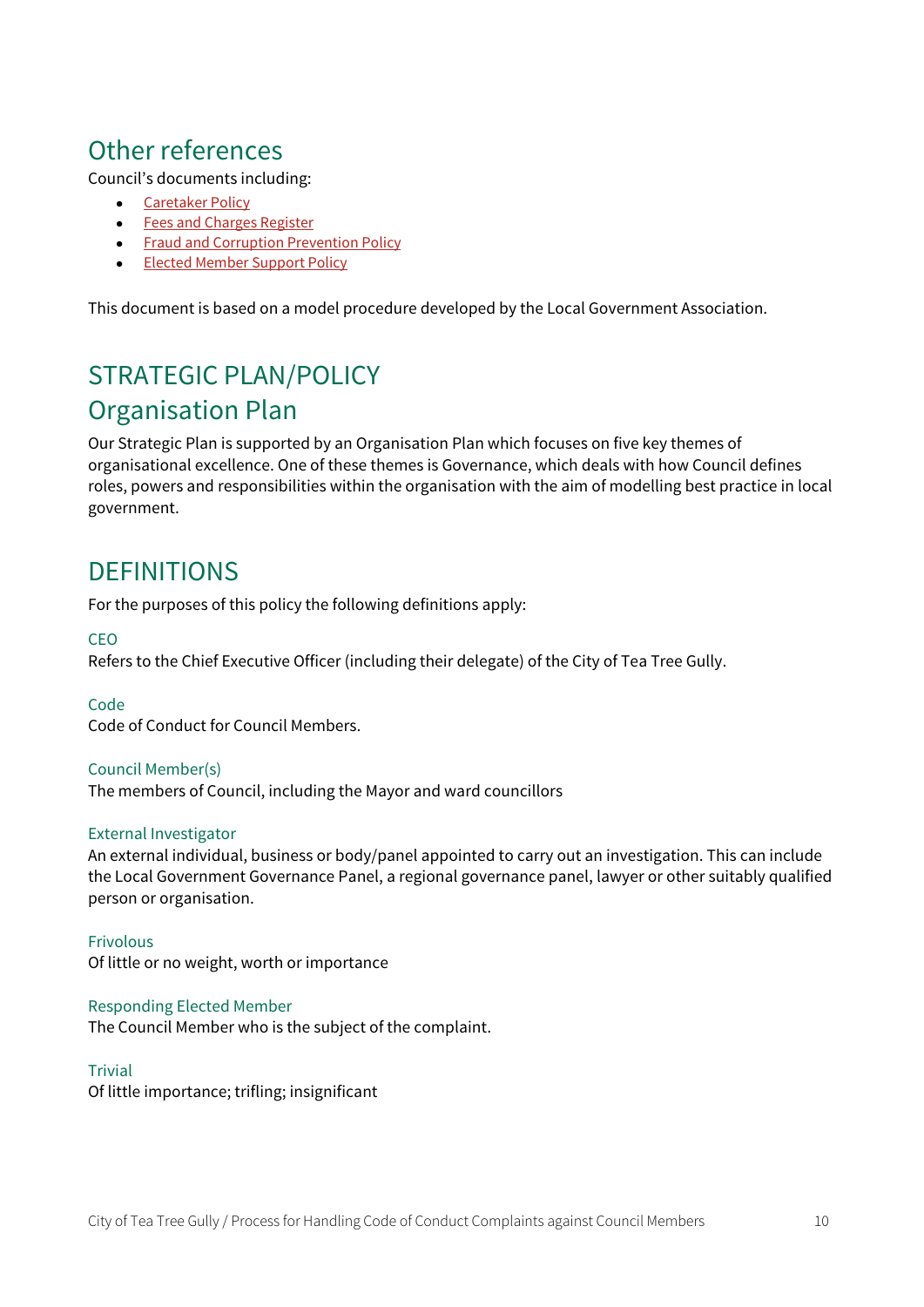# Other references

Council's documents including:

- **•** Caretaker Policy
- **•** Fees and Charges Register
- **•** Fraud and Corruption Prevention Policy
- **Elected Member Support Policy**

This document is based on a model procedure developed by the Local Government Association.

# STRATEGIC PLAN/POLICY Organisation Plan

Our Strategic Plan is supported by an Organisation Plan which focuses on five key themes of organisational excellence. One of these themes is Governance, which deals with how Council defines roles, powers and responsibilities within the organisation with the aim of modelling best practice in local government.

### **DEFINITIONS**

For the purposes of this policy the following definitions apply:

#### CEO

Refers to the Chief Executive Officer (including their delegate) of the City of Tea Tree Gully.

#### Code

Code of Conduct for Council Members.

#### Council Member(s)

The members of Council, including the Mayor and ward councillors

#### External Investigator

An external individual, business or body/panel appointed to carry out an investigation. This can include the Local Government Governance Panel, a regional governance panel, lawyer or other suitably qualified person or organisation.

Frivolous Of little or no weight, worth or importance

Responding Elected Member The Council Member who is the subject of the complaint.

#### **Trivial**

Of little importance; trifling; insignificant